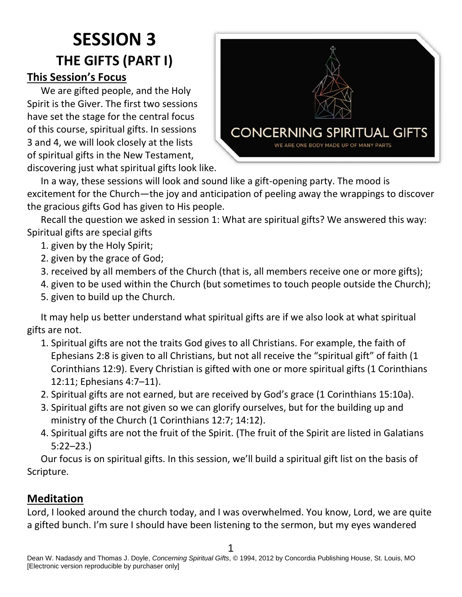# **SESSION 3 THE GIFTS (PART I) This Session's Focus**

We are gifted people, and the Holy Spirit is the Giver. The first two sessions have set the stage for the central focus of this course, spiritual gifts. In sessions 3 and 4, we will look closely at the lists of spiritual gifts in the New Testament, discovering just what spiritual gifts look like.



In a way, these sessions will look and sound like a gift-opening party. The mood is excitement for the Church—the joy and anticipation of peeling away the wrappings to discover the gracious gifts God has given to His people.

Recall the question we asked in session 1: What are spiritual gifts? We answered this way: Spiritual gifts are special gifts

- 1. given by the Holy Spirit;
- 2. given by the grace of God;
- 3. received by all members of the Church (that is, all members receive one or more gifts);
- 4. given to be used within the Church (but sometimes to touch people outside the Church);
- 5. given to build up the Church.

It may help us better understand what spiritual gifts are if we also look at what spiritual gifts are not.

- 1. Spiritual gifts are not the traits God gives to all Christians. For example, the faith of Ephesians 2:8 is given to all Christians, but not all receive the "spiritual gift" of faith (1 Corinthians 12:9). Every Christian is gifted with one or more spiritual gifts (1 Corinthians 12:11; Ephesians 4:7–11).
- 2. Spiritual gifts are not earned, but are received by God's grace (1 Corinthians 15:10a).
- 3. Spiritual gifts are not given so we can glorify ourselves, but for the building up and ministry of the Church (1 Corinthians 12:7; 14:12).
- 4. Spiritual gifts are not the fruit of the Spirit. (The fruit of the Spirit are listed in Galatians 5:22–23.)

Our focus is on spiritual gifts. In this session, we'll build a spiritual gift list on the basis of Scripture.

## **Meditation**

Lord, I looked around the church today, and I was overwhelmed. You know, Lord, we are quite a gifted bunch. I'm sure I should have been listening to the sermon, but my eyes wandered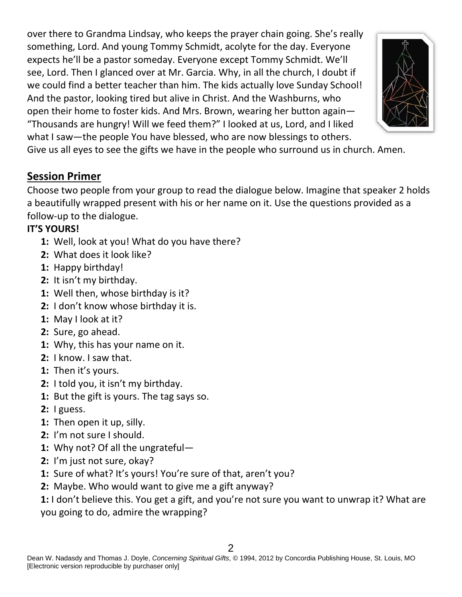over there to Grandma Lindsay, who keeps the prayer chain going. She's really something, Lord. And young Tommy Schmidt, acolyte for the day. Everyone expects he'll be a pastor someday. Everyone except Tommy Schmidt. We'll see, Lord. Then I glanced over at Mr. Garcia. Why, in all the church, I doubt if we could find a better teacher than him. The kids actually love Sunday School! And the pastor, looking tired but alive in Christ. And the Washburns, who open their home to foster kids. And Mrs. Brown, wearing her button again— "Thousands are hungry! Will we feed them?" I looked at us, Lord, and I liked what I saw—the people You have blessed, who are now blessings to others.



Give us all eyes to see the gifts we have in the people who surround us in church. Amen.

#### **Session Primer**

Choose two people from your group to read the dialogue below. Imagine that speaker 2 holds a beautifully wrapped present with his or her name on it. Use the questions provided as a follow-up to the dialogue.

#### **IT'S YOURS!**

- **1:** Well, look at you! What do you have there?
- **2:** What does it look like?
- **1:** Happy birthday!
- **2:** It isn't my birthday.
- **1:** Well then, whose birthday is it?
- **2:** I don't know whose birthday it is.
- **1:** May I look at it?
- **2:** Sure, go ahead.
- **1:** Why, this has your name on it.
- **2:** I know. I saw that.
- **1:** Then it's yours.
- **2:** I told you, it isn't my birthday.
- **1:** But the gift is yours. The tag says so.
- **2:** I guess.
- **1:** Then open it up, silly.
- **2:** I'm not sure I should.
- **1:** Why not? Of all the ungrateful—
- **2:** I'm just not sure, okay?
- **1:** Sure of what? It's yours! You're sure of that, aren't you?
- **2:** Maybe. Who would want to give me a gift anyway?
- **1:** I don't believe this. You get a gift, and you're not sure you want to unwrap it? What are

you going to do, admire the wrapping?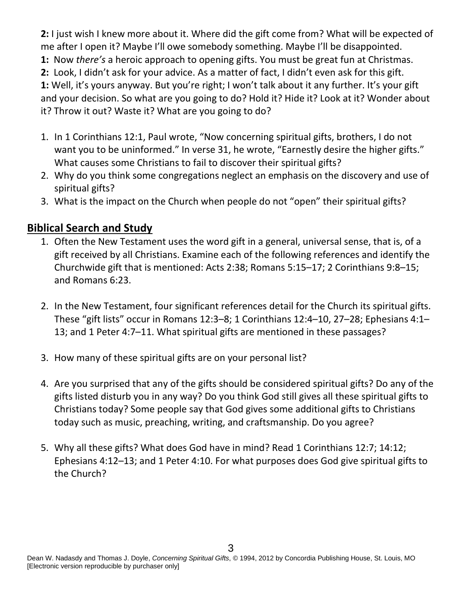**2:** I just wish I knew more about it. Where did the gift come from? What will be expected of me after I open it? Maybe I'll owe somebody something. Maybe I'll be disappointed. **1:** Now *there's* a heroic approach to opening gifts. You must be great fun at Christmas. **2:** Look, I didn't ask for your advice. As a matter of fact, I didn't even ask for this gift. **1:** Well, it's yours anyway. But you're right; I won't talk about it any further. It's your gift and your decision. So what are you going to do? Hold it? Hide it? Look at it? Wonder about it? Throw it out? Waste it? What are you going to do?

- 1. In 1 Corinthians 12:1, Paul wrote, "Now concerning spiritual gifts, brothers, I do not want you to be uninformed." In verse 31, he wrote, "Earnestly desire the higher gifts." What causes some Christians to fail to discover their spiritual gifts?
- 2. Why do you think some congregations neglect an emphasis on the discovery and use of spiritual gifts?
- 3. What is the impact on the Church when people do not "open" their spiritual gifts?

### **Biblical Search and Study**

- 1. Often the New Testament uses the word gift in a general, universal sense, that is, of a gift received by all Christians. Examine each of the following references and identify the Churchwide gift that is mentioned: Acts 2:38; Romans 5:15–17; 2 Corinthians 9:8–15; and Romans 6:23.
- 2. In the New Testament, four significant references detail for the Church its spiritual gifts. These "gift lists" occur in Romans 12:3–8; 1 Corinthians 12:4–10, 27–28; Ephesians 4:1– 13; and 1 Peter 4:7–11. What spiritual gifts are mentioned in these passages?
- 3. How many of these spiritual gifts are on your personal list?
- 4. Are you surprised that any of the gifts should be considered spiritual gifts? Do any of the gifts listed disturb you in any way? Do you think God still gives all these spiritual gifts to Christians today? Some people say that God gives some additional gifts to Christians today such as music, preaching, writing, and craftsmanship. Do you agree?
- 5. Why all these gifts? What does God have in mind? Read 1 Corinthians 12:7; 14:12; Ephesians 4:12–13; and 1 Peter 4:10. For what purposes does God give spiritual gifts to the Church?